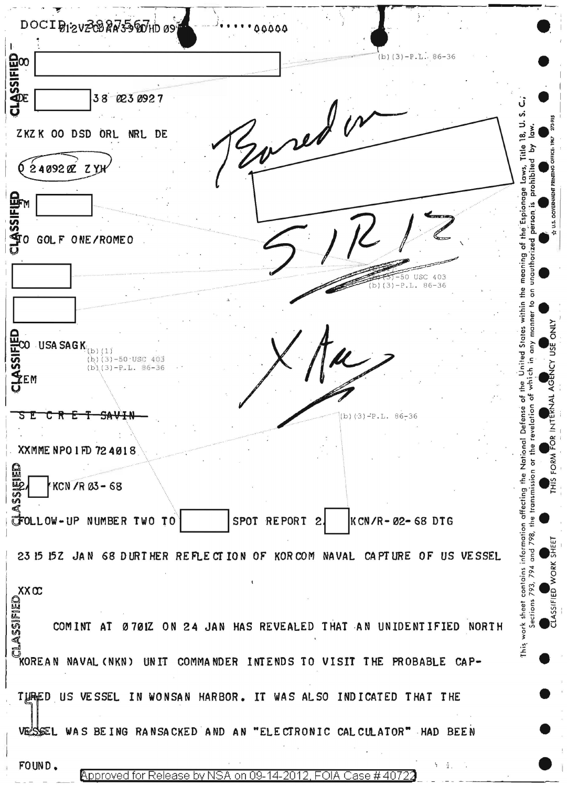DOCIBIZVZCBRN55601009 00000 LASSIFIED  $(b)(3)-P.L.. 86-36$ Evred in  $38$ 023 0927 Ĵ ၯ 5. ZKZK OO DSD ORL NRL DE ഇ് Title  $624092027$ prohibite Laws, meaning of the Espionage O GOLF ONE/ROMEO unauthor USC 403 iΩ  $P.L.$  $86 - 36$ the  $\overline{a}$ United States within J<br>6  $\overline{\textbf{20}}$  USA SAGK  $_{\text{(b) (1)}}$ any  $(b)(3)-50$  USC 403 SS<br>Sem  $(b) (3)-P.L. B6-36$ evelation of which <u>he</u> ۴ Defense T R F T  $SAV+$ (b) $(3)-P.L. 86-36$ õ the National XXMME NPO 1 FD 72 4018 FORM 旨  $\mathbb{E}_2$ KCN /R 03-68 information attecting SPOT REPORT CFOLLOW-UP NUMBER TWO TO  $\mathbf{2}$ KCN/R-02-68 DTG 23 15 152 JAN 68 DURTHER REFLECTION OF KORCOM NAVAL CAPTURE OF US VESSEL WORK contains  $X \times \infty$ <br>  $\begin{bmatrix} 1 & 0 & 0 \\ 0 & 0 & 0 \\ 0 & 0 & 0 \\ 0 & 0 & 0 \end{bmatrix}$ <br>  $X \times \infty$ <br>  $X \times \infty$ <br>  $X \times \infty$ <br>  $X \times \infty$ <br>  $X \times \infty$ <br>  $X \times \infty$ <br>  $X \times \infty$ <br>  $X \times \infty$ <br>  $X \times \infty$ 793. work sheet **ELASSIF** 0701Z ON 24 JAN HAS REVEALED THAT AN UNIDENTIFIED NORTH UNIT COMMANDER INTENDS TO VISIT THE PROBABLE CAP-TURED US VESSEL IN WONSAN HARBOR. IT WAS ALSO INDICATED THAT THE **VE'SSEL** WAS BEING RANSACKED AND AN "ELECTRONIC CALCULATOR" HAD BEEN FOUND. **Approved for Release by NSA** FOIA Case #4072 ion 09-14-2012